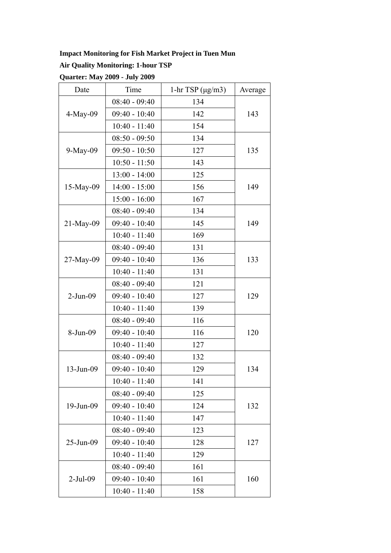## **Impact Monitoring for Fish Market Project in Tuen Mun**

## **Air Quality Monitoring: 1-hour TSP**

**Quarter: May 2009 - July 2009** 

| Date         | Time            | 1-hr TSP $(\mu g/m3)$ | Average |
|--------------|-----------------|-----------------------|---------|
| $4-May-09$   | $08:40 - 09:40$ | 134                   |         |
|              | $09:40 - 10:40$ | 142                   | 143     |
|              | $10:40 - 11:40$ | 154                   |         |
|              | $08:50 - 09:50$ | 134                   | 135     |
| $9-May-09$   | $09:50 - 10:50$ | 127                   |         |
|              | $10:50 - 11:50$ | 143                   |         |
|              | $13:00 - 14:00$ | 125                   | 149     |
| $15$ -May-09 | $14:00 - 15:00$ | 156                   |         |
|              | $15:00 - 16:00$ | 167                   |         |
|              | $08:40 - 09:40$ | 134                   | 149     |
| 21-May-09    | $09:40 - 10:40$ | 145                   |         |
|              | $10:40 - 11:40$ | 169                   |         |
|              | $08:40 - 09:40$ | 131                   | 133     |
| $27-May-09$  | $09:40 - 10:40$ | 136                   |         |
|              | $10:40 - 11:40$ | 131                   |         |
| $2-Jun-09$   | $08:40 - 09:40$ | 121                   | 129     |
|              | $09:40 - 10:40$ | 127                   |         |
|              | $10:40 - 11:40$ | 139                   |         |
| 8-Jun-09     | $08:40 - 09:40$ | 116                   | 120     |
|              | $09:40 - 10:40$ | 116                   |         |
|              | $10:40 - 11:40$ | 127                   |         |
|              | $08:40 - 09:40$ | 132                   | 134     |
| 13-Jun-09    | $09:40 - 10:40$ | 129                   |         |
|              | $10:40 - 11:40$ | 141                   |         |
| 19-Jun-09    | $08:40 - 09:40$ | 125                   | 132     |
|              | $09:40 - 10:40$ | 124                   |         |
|              | $10:40 - 11:40$ | 147                   |         |
| 25-Jun-09    | $08:40 - 09:40$ | 123                   | 127     |
|              | $09:40 - 10:40$ | 128                   |         |
|              | $10:40 - 11:40$ | 129                   |         |
| $2-Jul-09$   | $08:40 - 09:40$ | 161                   | 160     |
|              | $09:40 - 10:40$ | 161                   |         |
|              | $10:40 - 11:40$ | 158                   |         |